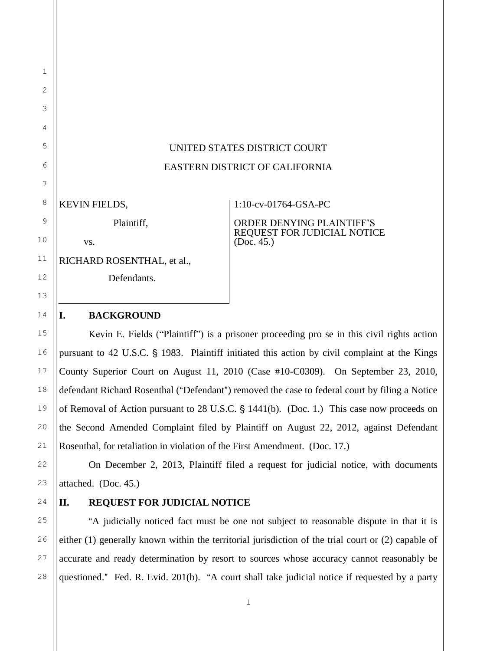# UNITED STATES DISTRICT COURT EASTERN DISTRICT OF CALIFORNIA

KEVIN FIELDS,

Plaintiff,

vs.

RICHARD ROSENTHAL, et al.,

Defendants.

### 1:10-cv-01764-GSA-PC

ORDER DENYING PLAINTIFF'S REQUEST FOR JUDICIAL NOTICE (Doc. 45.)

### **I. BACKGROUND**

Kevin E. Fields ("Plaintiff") is a prisoner proceeding pro se in this civil rights action pursuant to 42 U.S.C. § 1983. Plaintiff initiated this action by civil complaint at the Kings County Superior Court on August 11, 2010 (Case #10-C0309). On September 23, 2010, defendant Richard Rosenthal ("Defendant") removed the case to federal court by filing a Notice of Removal of Action pursuant to  $28$  U.S.C.  $\S$  1441(b). (Doc. 1.) This case now proceeds on the Second Amended Complaint filed by Plaintiff on August 22, 2012, against Defendant Rosenthal, for retaliation in violation of the First Amendment. (Doc. 17.)

On December 2, 2013, Plaintiff filed a request for judicial notice, with documents attached. (Doc. 45.)

## **II. REQUEST FOR JUDICIAL NOTICE**

A judicially noticed fact must be one not subject to reasonable dispute in that it is either (1) generally known within the territorial jurisdiction of the trial court or (2) capable of accurate and ready determination by resort to sources whose accuracy cannot reasonably be questioned." Fed. R. Evid.  $201(b)$ . "A court shall take judicial notice if requested by a party

1

2

3

4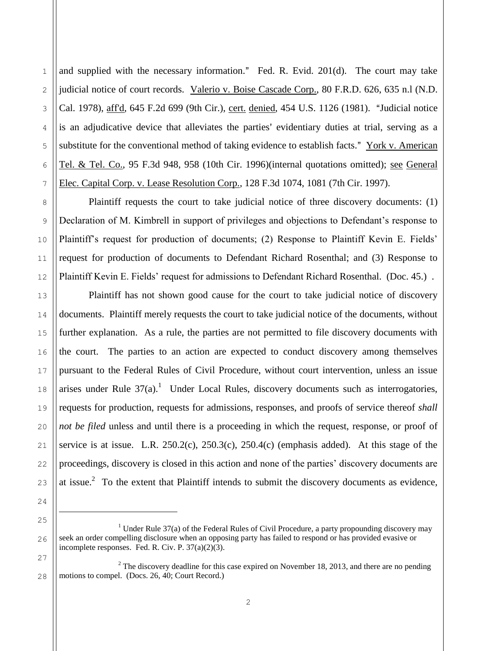and supplied with the necessary information." Fed. R. Evid.  $201(d)$ . The court may take judicial notice of court records. Valerio v. Boise Cascade Corp., 80 F.R.D. 626, 635 n.l (N.D. Cal. 1978), aff'd, 645 F.2d 699 (9th Cir.), cert. denied, 454 U.S. 1126 (1981). "Judicial notice is an adjudicative device that alleviates the parties' evidentiary duties at trial, serving as a substitute for the conventional method of taking evidence to establish facts." York v. American Tel. & Tel. Co., 95 F.3d 948, 958 (10th Cir. 1996)(internal quotations omitted); see General Elec. Capital Corp. v. Lease Resolution Corp., 128 F.3d 1074, 1081 (7th Cir. 1997).

Plaintiff requests the court to take judicial notice of three discovery documents: (1) Declaration of M. Kimbrell in support of privileges and objections to Defendant's response to Plaintiff's request for production of documents; (2) Response to Plaintiff Kevin E. Fields' request for production of documents to Defendant Richard Rosenthal; and (3) Response to Plaintiff Kevin E. Fields' request for admissions to Defendant Richard Rosenthal. (Doc. 45.) .

Plaintiff has not shown good cause for the court to take judicial notice of discovery documents. Plaintiff merely requests the court to take judicial notice of the documents, without further explanation. As a rule, the parties are not permitted to file discovery documents with the court. The parties to an action are expected to conduct discovery among themselves pursuant to the Federal Rules of Civil Procedure, without court intervention, unless an issue arises under Rule  $37(a)$ .<sup>1</sup> Under Local Rules, discovery documents such as interrogatories, requests for production, requests for admissions, responses, and proofs of service thereof *shall not be filed* unless and until there is a proceeding in which the request, response, or proof of service is at issue. L.R.  $250.2(c)$ ,  $250.3(c)$ ,  $250.4(c)$  (emphasis added). At this stage of the proceedings, discovery is closed in this action and none of the parties' discovery documents are at issue.<sup>2</sup> To the extent that Plaintiff intends to submit the discovery documents as evidence,

 $\overline{a}$ 

1

<sup>&</sup>lt;sup>1</sup> Under Rule 37(a) of the Federal Rules of Civil Procedure, a party propounding discovery may seek an order compelling disclosure when an opposing party has failed to respond or has provided evasive or incomplete responses. Fed. R. Civ. P. 37(a)(2)(3).

 $2$  The discovery deadline for this case expired on November 18, 2013, and there are no pending motions to compel. (Docs. 26, 40; Court Record.)